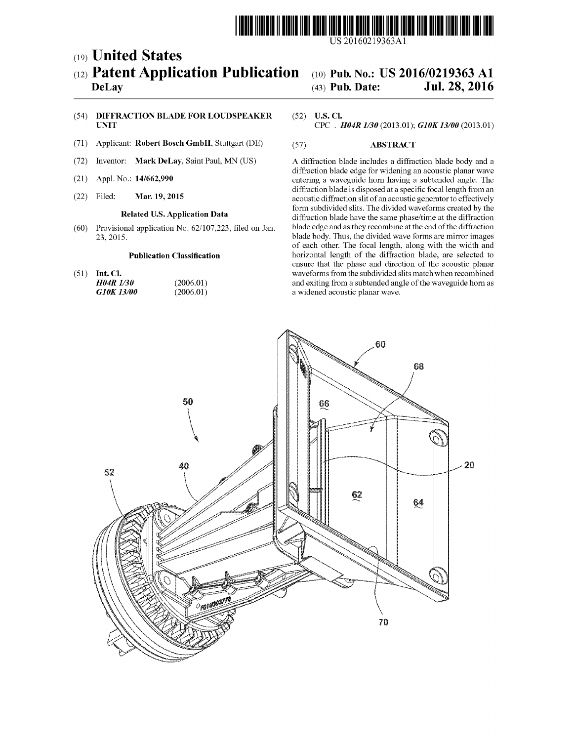

US 20160219363A1

## (19) United States (12) Patent Application Publication (10) Pub. No.: US 2016/0219363 A1<br>DeLay (43) Pub. Date: Jul. 28, 2016

# Jul. 28, 2016

## (54) DIFFRACTION BLADE FOR LOUDSPEAKER (52) U.S. Cl.<br>UNIT CPC . A

- (71) Applicant: Robert Bosch GmbH. Stuttgart (DE) (57) ABSTRACT
- 
- 
- 

(72) Inventor: Mark DeLay, Saint Paul, MN (US) A diffraction blade includes a diffraction blade body and a diffraction blade edge for widening an acoustic planar wave (21) Appl. No.: 14/662,990 entering a waveguide horn having a subtended angle. The diffraction blade is disposed at a specific focal length from an (22) Filed: **Mar. 19, 2015 accuration slit of an acoustic generator to effectively Solution Stated U.S. Application Data** form subdivided slits. The divided waveforms created by the **Related U.S. Application Data** diffraction blade have the same phase/time at the diffraction blade edge and as they recombine at the end of the diffraction (60) Provisional application No. 62/107.223, filed on Jan. blade edge and as they recombine at the end of the diffraction 23 of each other. The focal length, along with the width and<br>
23, 2015. blade borizontal length of the diffraction blade, are selected to horizontal length of the diffraction blade, are selected to ensure that the phase and direction of the acoustic planar (51) Int. Cl. waveforms from the subdivided slits match when recombined  $H04R$  1/30 (2006.01) and exiting from a subtended angle of the waveguide horn as H04R 1/30 (2006.01) and exiting from a subtended angle of the waveguide horn as <br>
G10K 13/00 (2006.01) a widened acoustic planar wave. a widened acoustic planar wave.



CPC. H04R  $1/30$  (2013.01); G10K 13/00 (2013.01)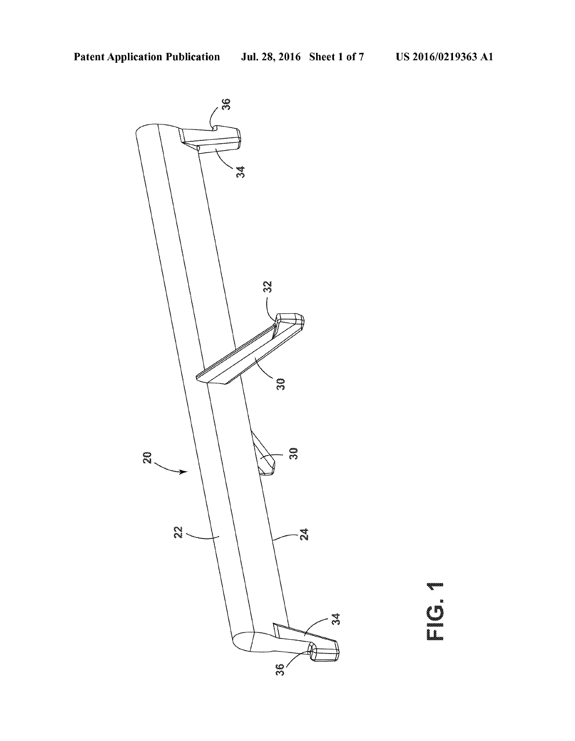

a and a company of the company of the company of the company of the company of the company of the company of the company of the company of the company of the company of the company of the company of the company of the comp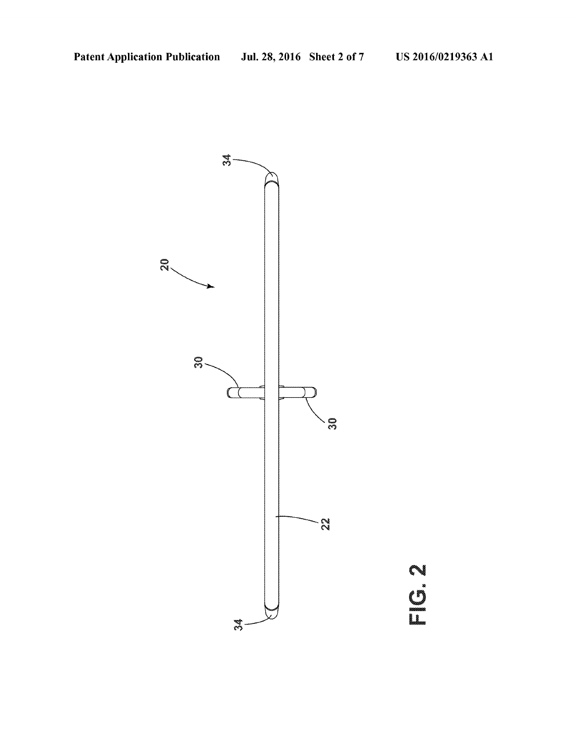

PIC.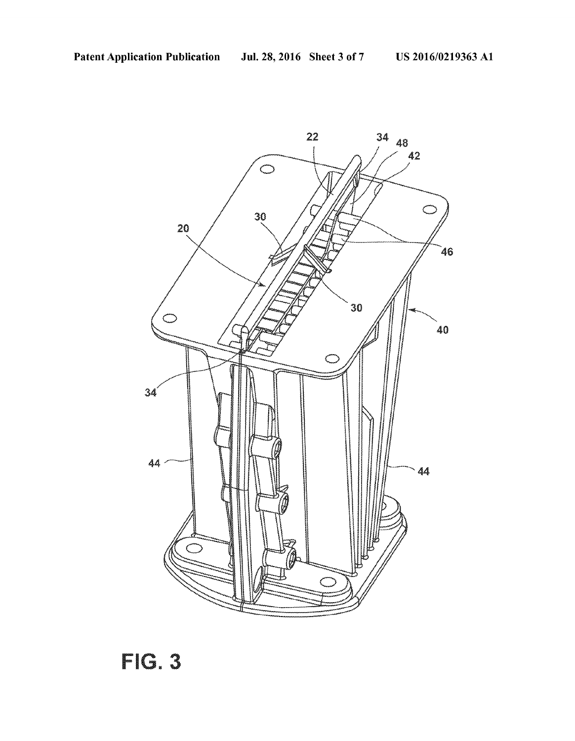

File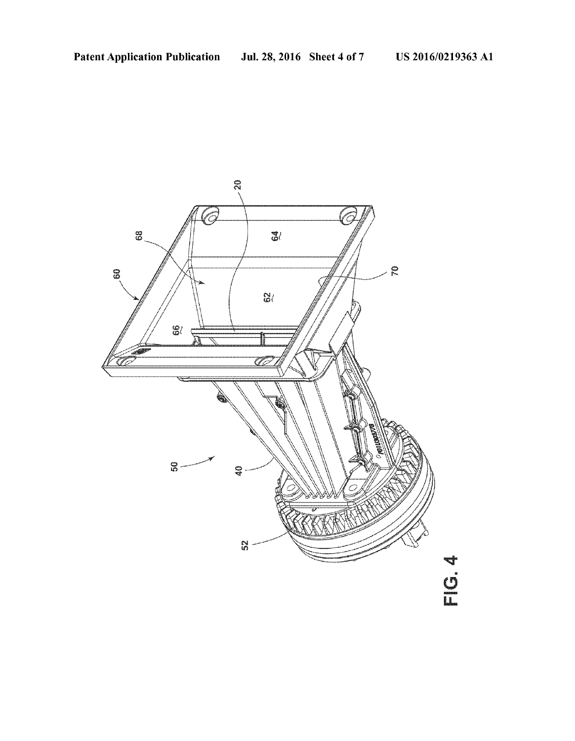

II.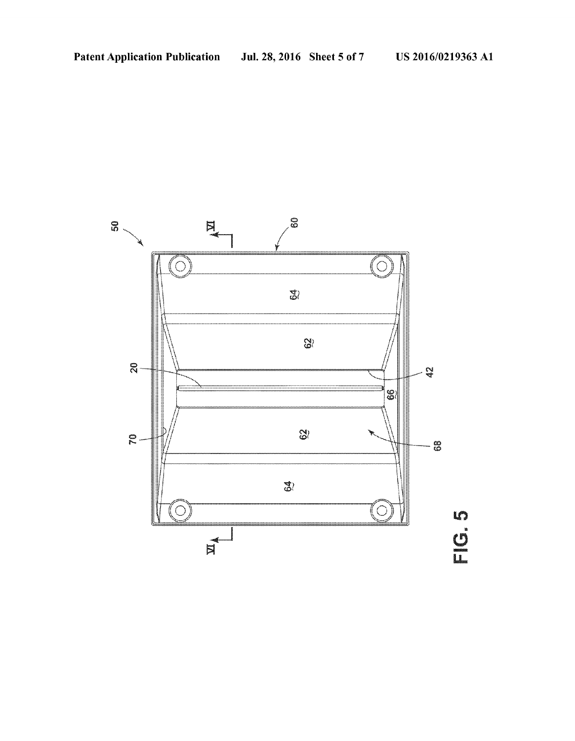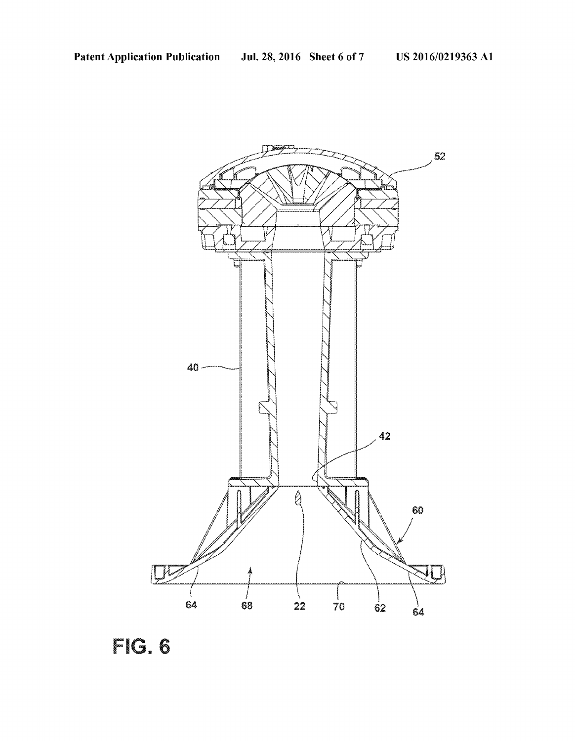

FIG. 6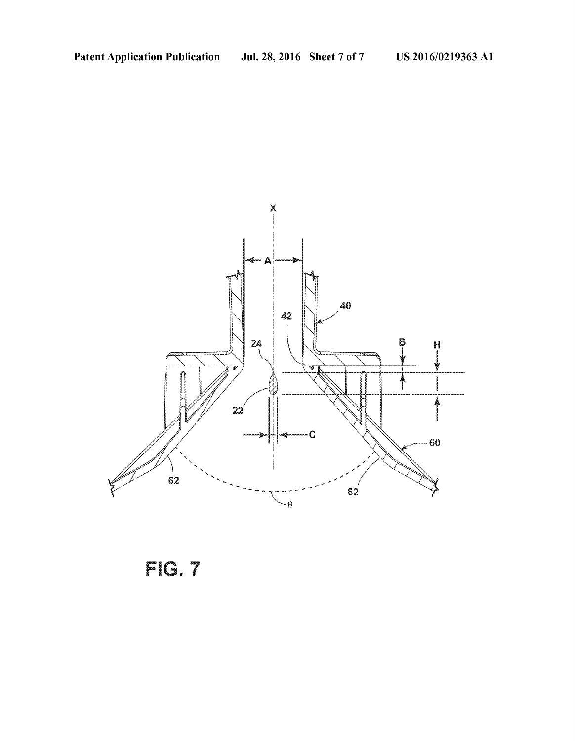

FIG. 7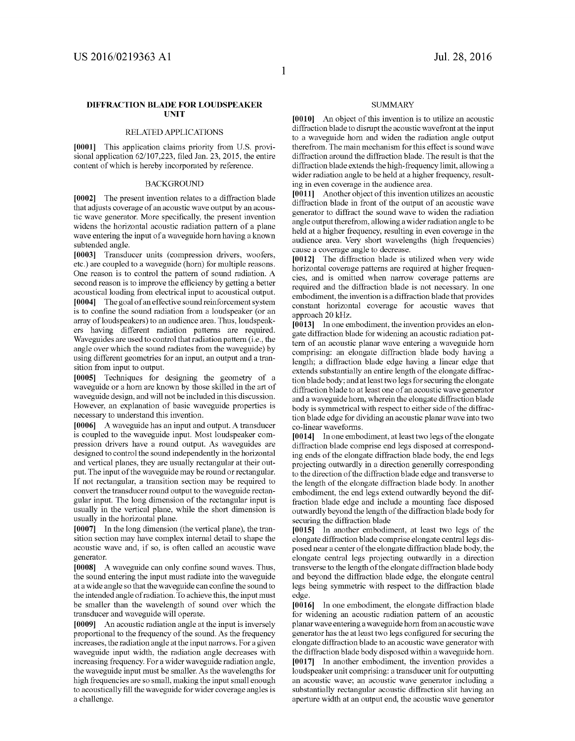## DFFRACTION BLADE FOR LOUDSPEAKER UNIT

### RELATED APPLICATIONS

[0001] This application claims priority from U.S. provisional application 62/107.223, filed Jan. 23, 2015, the entire content of which is hereby incorporated by reference.

#### BACKGROUND

[0002] The present invention relates to a diffraction blade that adjusts coverage of an acoustic wave output by an acous tic wave generator. More specifically, the present invention widens the horizontal acoustic radiation pattern of a plane wave entering the input of a waveguide horn having a known subtended angle.

[0003] Transducer units (compression drivers, woofers, etc.) are coupled to a waveguide (horn) for multiple reasons. One reason is to control the pattern of sound radiation. A second reason is to improve the efficiency by getting a better acoustical loading from electrical input to acoustical output.<br>[0004] The goal of an effective sound reinforcement system is to confine the sound radiation from a loudspeaker (or an array of loudspeakers) to an audience area. Thus, loudspeak ers having different radiation patterns are required. Waveguides are used to control that radiation pattern (i.e., the angle over which the sound radiates from the waveguide) by using different geometries for an input, an output and a transition from input to output.

[0005] Techniques for designing the geometry of a waveguide or a horn are known by those skilled in the art of waveguide design, and will not be included in this discussion. However, an explanation of basic waveguide properties is necessary to understand this invention.

[0006] A waveguide has an input and output. A transducer is coupled to the waveguide input. Most loudspeaker com pression drivers have a round output. As waveguides are designed to control the sound independently in the horizontal and vertical planes, they are usually rectangular at their out put. The input of the waveguide may be round or rectangular. If not rectangular, a transition section may be required to convert the transducer round output to the waveguide rectan gular input. The long dimension of the rectangular input is usually in the vertical plane, while the short dimension is usually in the horizontal plane.

[0007] In the long dimension (the vertical plane), the transition section may have complex internal detail to shape the acoustic wave and, if so, is often called an acoustic wave generator.

[0008] A waveguide can only confine sound waves. Thus, the sound entering the input must radiate into the waveguide at a wide angle so that the waveguide can confine the sound to the intended angle of radiation. To achieve this, the input must be smaller than the wavelength of sound over which the transducer and waveguide will operate.

[0009] An acoustic radiation angle at the input is inversely proportional to the frequency of the sound. As the frequency increases, the radiation angle at the input narrows. For a given waveguide input width, the radiation angle decreases with increasing frequency. For a wider waveguide radiation angle, the waveguide input must be Smaller. As the wavelengths for high frequencies are so small, making the input small enough to acoustically fill the waveguide for wider coverage angles is a challenge.

#### **SUMMARY**

[0010] An object of this invention is to utilize an acoustic diffraction blade to disrupt the acoustic wavefront at the input to a waveguide horn and widen the radiation angle output therefrom. The main mechanism for this effect is sound wave diffraction around the diffraction blade. The result is that the diffraction blade extends the high-frequency limit, allowing a wider radiation angle to be held at a higher frequency, result ing in even coverage in the audience area.

[0011] Another object of this invention utilizes an acoustic diffraction blade in front of the output of an acoustic wave generator to diffract the sound wave to widen the radiation angle output therefrom, allowing a wider radiation angle to be held at a higher frequency, resulting in even coverage in the audience area. Very short wavelengths (high frequencies) cause a coverage angle to decrease.

[0012] The diffraction blade is utilized when very wide horizontal coverage patterns are required at higher frequen cies, and is omitted when narrow coverage patterns are required and the diffraction blade is not necessary. In one embodiment, the invention is a diffraction blade that provides constant horizontal coverage for acoustic waves that approach 20 kHz.

[0013] In one embodiment, the invention provides an elongate diffraction blade for widening an acoustic radiation pat tern of an acoustic planar wave entering a waveguide horn comprising: an elongate diffraction blade body having a length; a diffraction blade edge having a linear edge that extends substantially an entire length of the elongate diffrac tion blade body; and at least two legs for securing the elongate diffraction blade to at least one of an acoustic wave generator and a waveguide horn, wherein the elongate diffraction blade body is symmetrical with respect to either side of the diffrac tion blade edge for dividing an acoustic planar wave into two co-linear waveforms.

[0014] In one embodiment, at least two legs of the elongate diffraction blade comprise end legs disposed at corresponding ends of the elongate diffraction blade body, the end legs projecting outwardly in a direction generally corresponding to the direction of the diffraction blade edge and transverse to the length of the elongate diffraction blade body. In another embodiment, the end legs extend outwardly beyond the dif fraction blade edge and include a mounting face disposed outwardly beyond the length of the diffraction blade body for securing the diffraction blade

[0015] In another embodiment, at least two legs of the elongate diffraction blade comprise elongate central legs dis posed near a center of the elongate diffraction blade body, the elongate central legs projecting outwardly in a direction transverse to the length of the elongate diffraction blade body and beyond the diffraction blade edge, the elongate central legs being symmetric with respect to the diffraction blade edge.

[0016] In one embodiment, the elongate diffraction blade for widening an acoustic radiation pattern of an acoustic planar wave entering a waveguide horn from an acoustic wave generator has the at least two legs configured for securing the elongate diffraction blade to an acoustic wave generator with the diffraction blade body disposed within a waveguide horn. [0017] In another embodiment, the invention provides a loudspeaker unit comprising: a transducer unit for outputting an acoustic wave; an acoustic wave generator including a substantially rectangular acoustic diffraction slit having an aperture width at an output end, the acoustic wave generator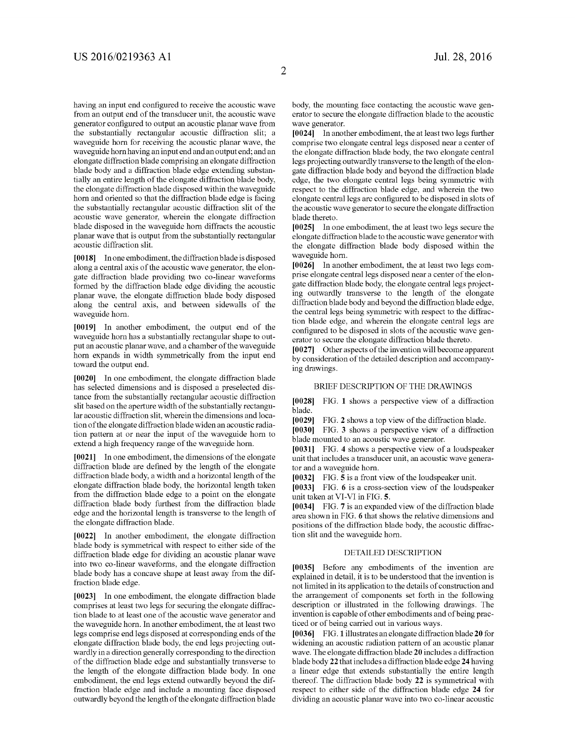having an input end configured to receive the acoustic wave from an output end of the transducer unit, the acoustic wave generator configured to output an acoustic planar wave from the substantially rectangular acoustic diffraction slit; a waveguide horn for receiving the acoustic planar wave, the waveguide horn having an input end and an output end; and an elongate diffraction blade comprising an elongate diffraction blade body and a diffraction blade edge extending substan tially an entire length of the elongate diffraction blade body, the elongate diffraction blade disposed within the waveguide<br>horn and oriented so that the diffraction blade edge is facing the substantially rectangular acoustic diffraction slit of the acoustic wave generator, wherein the elongate diffraction blade disposed in the waveguide horn diffracts the acoustic planar wave that is output from the Substantially rectangular acoustic diffraction slit.

[0018] In one embodiment, the diffraction blade is disposed along a central axis of the acoustic wave generator, the elon gate diffraction blade providing two co-linear waveforms formed by the diffraction blade edge dividing the acoustic planar wave, the elongate diffraction blade body disposed along the central axis, and between sidewalls of the waveguide horn.

[0019] In another embodiment, the output end of the waveguide horn has a substantially rectangular shape to output an acoustic planar wave, and a chamber of the waveguide horn expands in width symmetrically from the input end toward the output end.

[0020] In one embodiment, the elongate diffraction blade has selected dimensions and is disposed a preselected dis tance from the substantially rectangular acoustic diffraction slit based on the aperture width of the substantially rectangu lar acoustic diffraction slit, wherein the dimensions and loca tion of the elongate diffraction blade widen an acoustic radia tion pattern at or near the input of the waveguide horn to extend a high frequency range of the waveguide horn.

0021. In one embodiment, the dimensions of the elongate diffraction blade are defined by the length of the elongate diffraction blade body, a width and a horizontal length of the elongate diffraction blade body, the horizontal length taken from the diffraction blade edge to a point on the elongate diffraction blade body furthest from the diffraction blade edge and the horizontal length is transverse to the length of the elongate diffraction blade.

[0022] In another embodiment, the elongate diffraction blade body is symmetrical with respect to either side of the diffraction blade edge for dividing an acoustic planar wave into two co-linear waveforms, and the elongate diffraction blade body has a concave shape at least away from the dif fraction blade edge.

[0023] In one embodiment, the elongate diffraction blade comprises at least two legs for securing the elongate diffrac tion blade to at least one of the acoustic wave generator and the waveguide horn. In another embodiment, the at least two legs comprise end legs disposed at corresponding ends of the elongate diffraction blade body, the end legs projecting out wardly in a direction generally corresponding to the direction of the diffraction blade edge and substantially transverse to the length of the elongate diffraction blade body. In one embodiment, the end legs extend outwardly beyond the dif fraction blade edge and include a mounting face disposed outwardly beyond the length of the elongate diffraction blade body, the mounting face contacting the acoustic wave gen erator to secure the elongate diffraction blade to the acoustic wave generator.

[0024] In another embodiment, the at least two legs further comprise two elongate central legs disposed near a center of the elongate diffraction blade body, the two elongate central legs projecting outwardly transverse to the length of the elon gate diffraction blade body and beyond the diffraction blade edge, the two elongate central legs being symmetric with respect to the diffraction blade edge, and wherein the two elongate central legs are configured to be disposed in slots of the acoustic wave generator to secure the elongate diffraction blade thereto.

[0025] In one embodiment, the at least two legs secure the elongate diffraction blade to the acoustic wave generator with the elongate diffraction blade body disposed within the waveguide horn.

[0026] In another embodiment, the at least two legs comprise elongate central legs disposed near a center of the elongate diffraction blade body, the elongate central legs projecting outwardly transverse to the length of the elongate diffraction blade body and beyond the diffraction blade edge, the central legs being symmetric with respect to the diffraction blade edge, and wherein the elongate central legs are configured to be disposed in slots of the acoustic wave gen erator to secure the elongate diffraction blade thereto.<br>[0027] Other aspects of the invention will become apparent

by consideration of the detailed description and accompanying drawings.

## BRIEF DESCRIPTION OF THE DRAWINGS

[0028] FIG. 1 shows a perspective view of a diffraction blade.

[0029] FIG. 2 shows a top view of the diffraction blade.

[0030] FIG. 3 shows a perspective view of a diffraction blade mounted to an acoustic wave generator.

[0031] FIG. 4 shows a perspective view of a loudspeaker unit that includes a transducer unit, an acoustic wave genera tor and a waveguide horn.

[0032] FIG. 5 is a front view of the loudspeaker unit.

[0033] FIG. 6 is a cross-section view of the loudspeaker unit taken at VI-VI in FIG. 5.

0034 FIG. 7 is an expanded view of the diffraction blade area shown in FIG. 6 that shows the relative dimensions and positions of the diffraction blade body, the acoustic diffrac tion slit and the waveguide horn.

#### DETAILED DESCRIPTION

[0035] Before any embodiments of the invention are explained in detail, it is to be understood that the invention is not limited in its application to the details of construction and the arrangement of components set forth in the following description or illustrated in the following drawings. The invention is capable of other embodiments and of being prac ticed or of being carried out in various ways.

[0036] FIG. 1 illustrates an elongate diffraction blade 20 for widening an acoustic radiation pattern of an acoustic planar wave. The elongate diffraction blade 20 includes a diffraction blade body 22 that includes a diffraction blade edge 24 having a linear edge that extends substantially the entire length thereof. The diffraction blade body 22 is symmetrical with respect to either side of the diffraction blade edge 24 for dividing an acoustic planar wave into two co-linear acoustic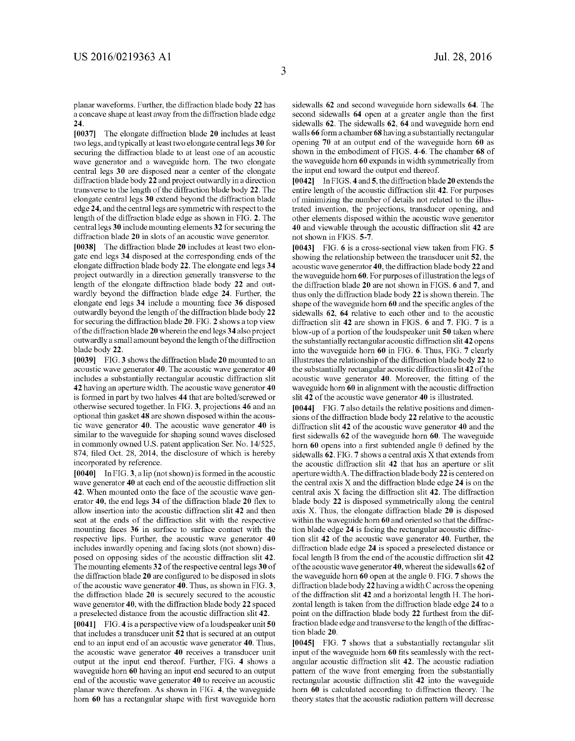planar waveforms. Further, the diffraction blade body 22 has a concave shape at least away from the diffraction blade edge 24.

[0037] The elongate diffraction blade 20 includes at least two legs, and typically at least two elongate central legs 30 for securing the diffraction blade to at least one of an acoustic wave generator and a waveguide horn. The two elongate central legs 30 are disposed near a center of the elongate diffraction blade body 22 and project outwardly in a direction transverse to the length of the diffraction blade body 22. The elongate central legs 30 extend beyond the diffraction blade edge 24, and the central legs are symmetric with respect to the length of the diffraction blade edge as shown in FIG. 2. The central legs 30 include mounting elements 32 for securing the diffraction blade 20 in slots of an acoustic wave generator.

[0038] The diffraction blade 20 includes at least two elongate end legs 34 disposed at the corresponding ends of the elongate diffraction blade body 22. The elongate end legs 34 project outwardly in a direction generally transverse to the length of the elongate diffraction blade body 22 and out wardly beyond the diffraction blade edge 24. Further, the elongate end legs 34 include a mounting face 36 disposed outwardly beyond the length of the diffraction blade body 22 for securing the diffraction blade 20. FIG. 2 shows a top view of the diffraction blade 20 wherein the end legs 34 also project outwardly a small amount beyond the length of the diffraction blade body 22.

[0039] FIG. 3 shows the diffraction blade 20 mounted to an acoustic wave generator 40. The acoustic wave generator 40 includes a substantially rectangular acoustic diffraction slit 42 having an aperture width. The acoustic wave generator 40 is formed in part by two halves 44 that are bolted/screwed or otherwise secured together. In FIG. 3, projections 46 and an optional thin gasket 48 are shown disposed within the acous tic wave generator 40. The acoustic wave generator 40 is similar to the waveguide for shaping sound waves disclosed in commonly owned U.S. patent application Ser. No. 14/525, 874, filed Oct. 28, 2014, the disclosure of which is hereby incorporated by reference.

 $[0040]$  In FIG. 3, a lip (not shown) is formed in the acoustic wave generator 40 at each end of the acoustic diffraction slit 42. When mounted onto the face of the acoustic wave gen erator 40, the end legs 34 of the diffraction blade 20 flex to allow insertion into the acoustic diffraction slit 42 and then seat at the ends of the diffraction slit with the respective mounting faces 36 in surface to surface contact with the respective lips. Further, the acoustic wave generator 40 includes inwardly opening and facing slots (not shown) dis posed on opposing sides of the acoustic diffraction slit 42. The mounting elements 32 of the respective central legs 30 of the diffraction blade 20 are configured to be disposed in slots of the acoustic wave generator 40. Thus, as shown in FIG. 3, the diffraction blade 20 is securely secured to the acoustic wave generator 40, with the diffraction blade body 22 spaced a preselected distance from the acoustic diffraction slit 42.

[0041] FIG. 4 is a perspective view of a loudspeaker unit 50 that includes a transducer unit 52 that is secured at an output end to an input end of an acoustic wave generator 40. Thus, the acoustic wave generator 40 receives a transducer unit output at the input end thereof. Further, FIG. 4 shows a waveguide horn 60 having an input end secured to an output end of the acoustic wave generator 40 to receive an acoustic planar wave therefrom. As shown in FIG. 4, the waveguide horn 60 has a rectangular shape with first waveguide horn sidewalls 62 and second waveguide horn sidewalls 64. The second sidewalls 64 open at a greater angle than the first sidewalls 62. The sidewalls 62, 64 and waveguide horn end walls 66 form a chamber 68 having a substantially rectangular opening 70 at an output end of the waveguide horn 60 as shown in the embodiment of FIGS. 4-6. The chamber 68 of the waveguide horn 60 expands in width symmetrically from the input end toward the output end thereof.

[0042] In FIGS. 4 and 5, the diffraction blade 20 extends the entire length of the acoustic diffraction slit 42. For purposes of minimizing the number of details not related to the illus trated invention, the projections, transducer opening, and other elements disposed within the acoustic wave generator 40 and viewable through the acoustic diffraction slit 42 are not shown in FIGS. 5-7.

[0043] FIG. 6 is a cross-sectional view taken from FIG. 5 showing the relationship between the transducer unit 52, the acoustic wave generator 40, the diffraction blade body 22 and the waveguide horn 60. For purposes of illustration the legs of the diffraction blade 20 are not shown in FIGS. 6 and 7, and thus only the diffraction blade body 22 is shown therein. The shape of the waveguide horn 60 and the specific angles of the sidewalls 62, 64 relative to each other and to the acoustic diffraction slit 42 are shown in FIGS. 6 and 7. FIG. 7 is a blow-up of a portion of the loudspeaker unit 50 taken where the substantially rectangular acoustic diffraction slit 42 opens into the waveguide horn 60 in FIG. 6. Thus, FIG. 7 clearly illustrates the relationship of the diffraction blade body 22 to the substantially rectangular acoustic diffraction slit 42 of the acoustic wave generator 40. Moreover, the fitting of the waveguide horn 60 in alignment with the acoustic diffraction slit 42 of the acoustic wave generator 40 is illustrated.

[0044] FIG. 7 also details the relative positions and dimensions of the diffraction blade body 22 relative to the acoustic diffraction slit 42 of the acoustic wave generator 40 and the first sidewalls 62 of the waveguide horn 60. The waveguide horn 60 opens into a first subtended angle  $\theta$  defined by the sidewalls 62. FIG. 7 shows a central axis X that extends from the acoustic diffraction slit 42 that has an aperture or slit aperture width A. The diffraction blade body 22 is centered on the central axis  $X$  and the diffraction blade edge  $24$  is on the central axis X facing the diffraction slit 42. The diffraction blade body 22 is disposed symmetrically along the central axis X. Thus, the elongate diffraction blade 20 is disposed within the waveguide horn 60 and oriented so that the diffrac tion blade edge 24 is facing the rectangular acoustic diffrac tion slit 42 of the acoustic wave generator 40. Further, the diffraction blade edge 24 is spaced a preselected distance or focal length B from the end of the acoustic diffraction slit 42 of the acoustic wave generator 40, whereat the sidewalls 62 of the waveguide horn  $60$  open at the angle  $\theta$ . FIG. 7 shows the diffraction blade body  $22$  having a width C across the opening of the diffraction slit 42 and a horizontal length H. The hori Zontal length is taken from the diffraction blade edge 24 to a point on the diffraction blade body 22 furthest from the dif fraction blade edge and transverse to the length of the diffrac tion blade 20.

[0045] FIG. 7 shows that a substantially rectangular slit input of the waveguide horn 60 fits seamlessly with the rect angular acoustic diffraction slit 42. The acoustic radiation pattern of the wave front emerging from the substantially rectangular acoustic diffraction slit 42 into the waveguide horn 60 is calculated according to diffraction theory. The theory states that the acoustic radiation pattern will decrease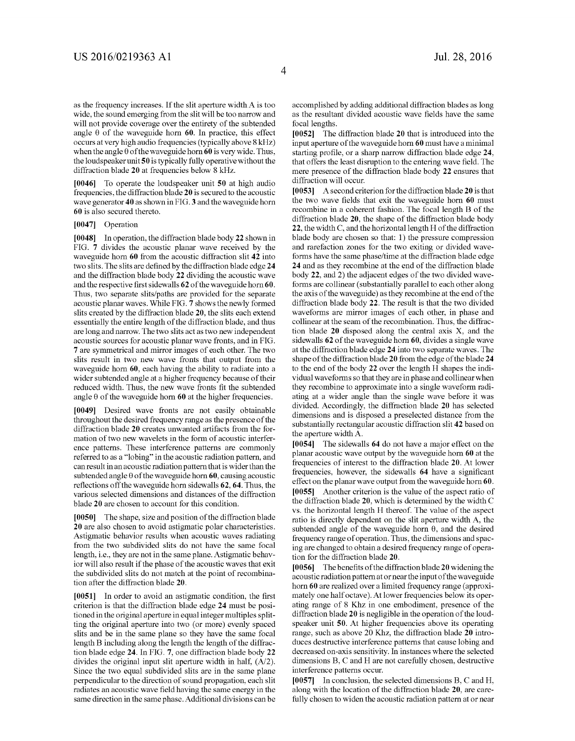as the frequency increases. If the slit aperture width A is too wide, the sound emerging from the slit will be too narrow and will not provide coverage over the entirety of the subtended angle  $\theta$  of the waveguide horn 60. In practice, this effect occurs at very high audio frequencies (typically above 8 kHz) when the angle  $\theta$  of the waveguide horn 60 is very wide. Thus, the loudspeaker unit 50 is typically fully operative without the diffraction blade 20 at frequencies below 8 kHz.

[0046] To operate the loudspeaker unit 50 at high audio frequencies, the diffraction blade 20 is secured to the acoustic wave generator 40 as shown in FIG.3 and the waveguide horn 60 is also secured thereto.

## 0047] Operation

[0048] In operation, the diffraction blade body 22 shown in FIG. 7 divides the acoustic planar wave received by the waveguide horn 60 from the acoustic diffraction slit 42 into two slits. The slits are defined by the diffraction blade edge 24 and the diffraction blade body 22 dividing the acoustic wave and the respective first sidewalls 62 of the waveguide horn 60. Thus, two separate slits/paths are provided for the separate acoustic planar waves. While FIG. 7 shows the newly formed slits created by the diffraction blade 20, the slits each extend essentially the entire length of the diffraction blade, and thus are long and narrow. The two slits act as two new independent acoustic sources for acoustic planar wave fronts, and in FIG. 7 are symmetrical and mirror images of each other. The two slits result in two new wave fronts that output from the waveguide horn 60, each having the ability to radiate into a wider subtended angle at a higher frequency because of their reduced width. Thus, the new wave fronts fit the subtended angle  $\theta$  of the waveguide horn 60 at the higher frequencies.

[0049] Desired wave fronts are not easily obtainable throughout the desired frequency range as the presence of the diffraction blade 20 creates unwanted artifacts from the for mation of two new wavelets in the form of acoustic interfer ence patterns. These interference patterns are commonly referred to as a "lobing" in the acoustic radiation pattern, and can result in an acoustic radiation pattern that is wider than the subtended angle  $\theta$  of the waveguide horn 60, causing acoustic reflections off the waveguide horn sidewalls 62, 64. Thus, the various selected dimensions and distances of the diffraction blade 20 are chosen to account for this condition.

[0050] The shape, size and position of the diffraction blade 20 are also chosen to avoid astigmatic polar characteristics. Astigmatic behavior results when acoustic waves radiating from the two subdivided slits do not have the same focal length, i.e., they are not in the same plane. Astigmatic behav ior will also result if the phase of the acoustic waves that exit the subdivided slits do not match at the point of recombina tion after the diffraction blade 20.

[0051] In order to avoid an astigmatic condition, the first criterion is that the diffraction blade edge 24 must be positioned in the original aperture in equal integer multiples splitting the original aperture into two (or more) evenly spaced slits and be in the same plane so they have the same focal length B including along the length the length of the diffrac tion blade edge 24. In FIG. 7, one diffraction blade body 22 divides the original input slit aperture width in half,  $(A/2)$ .<br>Since the two equal subdivided slits are in the same plane perpendicular to the direction of sound propagation, each slit radiates an acoustic wave field having the same energy in the same direction in the same phase. Additional divisions can be accomplished by adding additional diffraction blades as long as the resultant divided acoustic wave fields have the same focal lengths.

[0052] The diffraction blade 20 that is introduced into the input aperture of the waveguide horn 60 must have a minimal starting profile, or a sharp narrow diffraction blade edge 24, that offers the least disruption to the entering wave field. The mere presence of the diffraction blade body 22 ensures that diffraction will occur.

[ $0053$ ] A second criterion for the diffraction blade 20 is that the two wave fields that exit the waveguide horn 60 must recombine in a coherent fashion. The focal length B of the diffraction blade 20, the shape of the diffraction blade body 22, the width C, and the horizontal length H of the diffraction blade body are chosen so that: 1) the pressure compression and rarefaction Zones for the two exiting or divided wave forms have the same phase/time at the diffraction blade edge 24 and as they recombine at the end of the diffraction blade body 22, and 2) the adjacent edges of the two divided wave forms are collinear (substantially parallel to each other along the axis of the waveguide) as they recombine at the end of the diffraction blade body 22. The result is that the two divided waveforms are mirror images of each other, in phase and collinear at the seam of the recombination. Thus, the diffrac tion blade 20 disposed along the central axis X, and the sidewalls 62 of the waveguide horn 60, divides a single wave at the diffraction blade edge 24 into two separate waves. The shape of the diffraction blade 20 from the edge of the blade 24 to the end of the body 22 over the length H shapes the indi vidual waveforms so that they are in phase and collinear when they recombine to approximate into a single waveform radi ating at a wider angle than the single wave before it was divided. Accordingly, the diffraction blade 20 has selected dimensions and is disposed a preselected distance from the substantially rectangular acoustic diffraction slit 42 based on the aperture width A.

[0054] The sidewalls 64 do not have a major effect on the planar acoustic wave output by the waveguide horn 60 at the frequencies of interest to the diffraction blade 20. At lower frequencies, however, the sidewalls 64 have a significant effect on the planar wave output from the waveguide horn 60. [0055] Another criterion is the value of the aspect ratio of the diffraction blade 20, which is determined by the width C vs. the horizontal length H thereof. The value of the aspect ratio is directly dependent on the slit aperture width A, the subtended angle of the waveguide horn  $\theta$ , and the desired frequency range of operation. Thus, the dimensions and spacing are changed to obtain a desired frequency range of operation for the diffraction blade 20.

[0056] The benefits of the diffraction blade 20 widening the acoustic radiation patternator near the input of the waveguide horn 60 are realized over a limited frequency range (approxi mately one half octave). At lower frequencies below its oper ating range of 8 Khz in one embodiment, presence of the diffraction blade 20 is negligible in the operation of the loud speaker unit 50. At higher frequencies above its operating range, such as above 20 Khz, the diffraction blade 20 intro duces destructive interference patterns that cause lobing and decreased on-axis sensitivity. In instances where the selected dimensions B, C and H are not carefully chosen, destructive interference patterns occur.

[0057] In conclusion, the selected dimensions B, C and H, along with the location of the diffraction blade 20, are care fully chosen to widen the acoustic radiation pattern at or near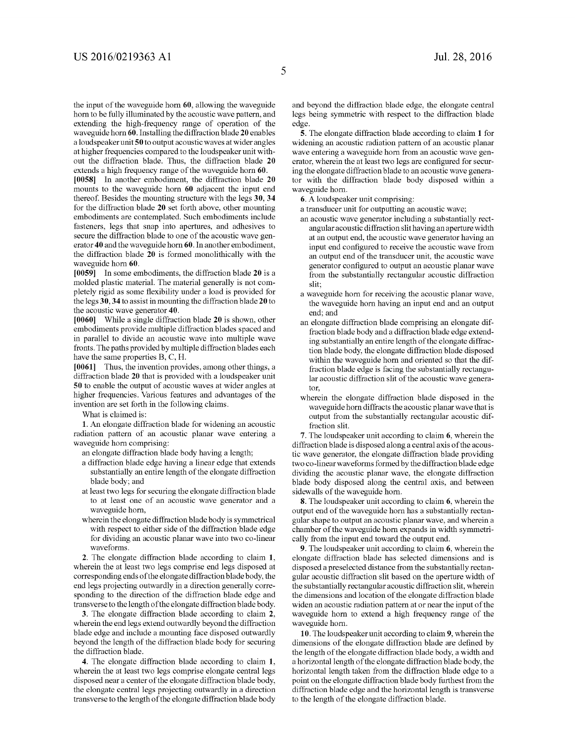the input of the waveguide horn 60, allowing the waveguide horn to be fully illuminated by the acoustic wave pattern, and extending the high-frequency range of operation of the waveguide horn 60. Installing the diffraction blade 20 enables a loudspeaker unit 50 to output acoustic waves at wider angles at higher frequencies compared to the loudspeaker unit with out the diffraction blade. Thus, the diffraction blade 20 extends a high frequency range of the waveguide horn 60.

[0058] In another embodiment, the diffraction blade 20 mounts to the waveguide horn 60 adjacent the input end thereof. Besides the mounting structure with the legs 30, 34 for the diffraction blade 20 set forth above, other mounting embodiments are contemplated. Such embodiments include fasteners, legs that Snap into apertures, and adhesives to secure the diffraction blade to one of the acoustic wave gen erator 40 and the waveguide horn 60. In another embodiment, the diffraction blade 20 is formed monolithically with the waveguide horn 60.

[0059] In some embodiments, the diffraction blade 20 is a molded plastic material. The material generally is not com pletely rigid as some flexibility under a load is provided for the legs 30,34 to assist in mounting the diffraction blade 20 to the acoustic wave generator 40.

[0060] While a single diffraction blade 20 is shown, other embodiments provide multiple diffraction blades spaced and in parallel to divide an acoustic wave into multiple wave fronts. The paths provided by multiple diffraction blades each have the same properties B, C, H.

[0061] Thus, the invention provides, among other things, a diffraction blade 20 that is provided with a loudspeaker unit 50 to enable the output of acoustic waves at wider angles at higher frequencies. Various features and advantages of the invention are set forth in the following claims.

What is claimed is:

1. An elongate diffraction blade for widening an acoustic radiation pattern of an acoustic planar wave entering a waveguide horn comprising:

an elongate diffraction blade body having a length;

- a diffraction blade edge having a linear edge that extends substantially an entire length of the elongate diffraction blade body; and
- at least two legs for securing the elongate diffraction blade to at least one of an acoustic wave generator and a waveguide horn,
- wherein the elongate diffraction blade body is symmetrical with respect to either side of the diffraction blade edge for dividing an acoustic planar wave into two co-linear waveforms.

2. The elongate diffraction blade according to claim 1, wherein the at least two legs comprise end legs disposed at corresponding ends of the elongate diffraction blade body, the end legs projecting outwardly in a direction generally corre sponding to the direction of the diffraction blade edge and transverse to the length of the elongate diffraction blade body.

3. The elongate diffraction blade according to claim 2, wherein the end legs extend outwardly beyond the diffraction blade edge and include a mounting face disposed outwardly beyond the length of the diffraction blade body for securing the diffraction blade.

4. The elongate diffraction blade according to claim 1, wherein the at least two legs comprise elongate central legs<br>disposed near a center of the elongate diffraction blade body, the elongate central legs projecting outwardly in a direction transverse to the length of the elongate diffraction blade body and beyond the diffraction blade edge, the elongate central legs being symmetric with respect to the diffraction blade edge.

5. The elongate diffraction blade according to claim 1 for widening an acoustic radiation pattern of an acoustic planar wave entering a waveguide horn from an acoustic wave gen erator, wherein the at least two legs are configured for secur ing the elongate diffraction blade to an acoustic wave genera tor with the diffraction blade body disposed within a waveguide horn.

6. A loudspeaker unit comprising:

a transducer unit for outputting an acoustic wave;

- an acoustic wave generator including a substantially rectangular acoustic diffraction slit having an aperture width at an output end, the acoustic wave generator having an input end configured to receive the acoustic wave from an output end of the transducer unit, the acoustic wave generator configured to output an acoustic planar wave from the substantially rectangular acoustic diffraction slit.
- a waveguide horn for receiving the acoustic planar wave, the waveguide horn having an input end and an output end; and
- an elongate diffraction blade comprising an elongate dif fraction blade body and a diffraction blade edge extend ing substantially an entire length of the elongate diffraction blade body, the elongate diffraction blade disposed within the waveguide horn and oriented so that the dif fraction blade edge is facing the substantially rectangu lar acoustic diffraction slit of the acoustic wave genera tor,
- wherein the elongate diffraction blade disposed in the waveguide horn diffracts the acoustic planar wave that is output from the substantially rectangular acoustic diffraction slit.

7. The loudspeaker unit according to claim 6, wherein the diffraction blade is disposed along a central axis of the acous tic wave generator, the elongate diffraction blade providing<br>two co-linear waveforms formed by the diffraction blade edge dividing the acoustic planar wave, the elongate diffraction blade body disposed along the central axis, and between sidewalls of the waveguide horn.

8. The loudspeaker unit according to claim 6, wherein the output end of the waveguide horn has a substantially rectangular shape to output an acoustic planar wave, and wherein a chamber of the waveguide horn expands in width symmetri cally from the input end toward the output end.

9. The loudspeaker unit according to claim 6, wherein the elongate diffraction blade has selected dimensions and is disposed a preselected distance from the substantially rectangular acoustic diffraction slit based on the aperture width of the substantially rectangular acoustic diffraction slit, wherein the dimensions and location of the elongate diffraction blade widen an acoustic radiation pattern at or near the input of the waveguide horn to extend a high frequency range of the waveguide horn.

10. The loudspeaker unit according to claim 9, wherein the dimensions of the elongate diffraction blade are defined by the length of the elongate diffraction blade body, a width and a horizontal length of the elongate diffraction blade body, the horizontal length taken from the diffraction blade edge to a point on the elongate diffraction blade body furthest from the diffraction blade edge and the horizontal length is transverse to the length of the elongate diffraction blade.